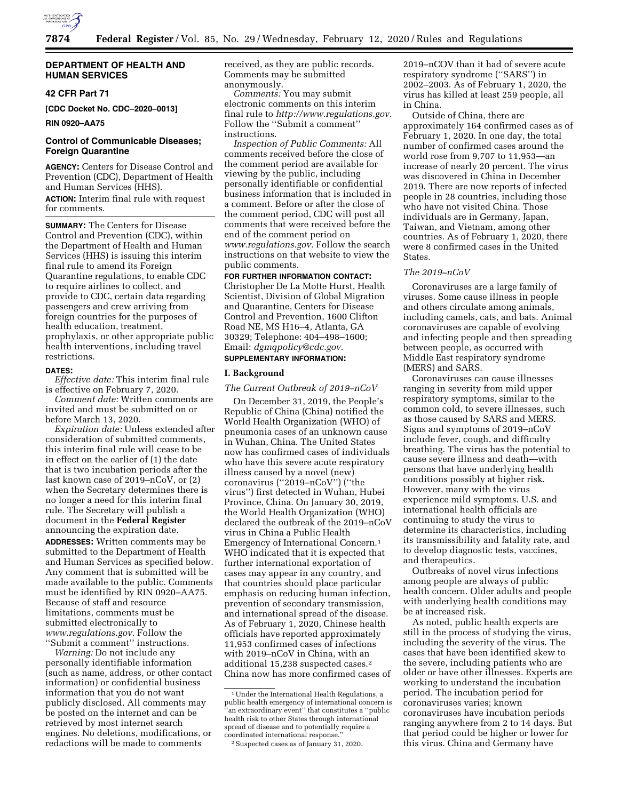

# **DEPARTMENT OF HEALTH AND HUMAN SERVICES**

# **42 CFR Part 71**

**[CDC Docket No. CDC–2020–0013]** 

# **RIN 0920–AA75**

# **Control of Communicable Diseases; Foreign Quarantine**

**AGENCY:** Centers for Disease Control and Prevention (CDC), Department of Health and Human Services (HHS). **ACTION:** Interim final rule with request for comments.

**SUMMARY:** The Centers for Disease Control and Prevention (CDC), within the Department of Health and Human Services (HHS) is issuing this interim final rule to amend its Foreign Quarantine regulations, to enable CDC to require airlines to collect, and provide to CDC, certain data regarding passengers and crew arriving from foreign countries for the purposes of health education, treatment, prophylaxis, or other appropriate public health interventions, including travel restrictions.

#### **DATES:**

*Effective date:* This interim final rule is effective on February 7, 2020.

*Comment date:* Written comments are invited and must be submitted on or before March 13, 2020.

*Expiration date:* Unless extended after consideration of submitted comments, this interim final rule will cease to be in effect on the earlier of (1) the date that is two incubation periods after the last known case of 2019–nCoV, or (2) when the Secretary determines there is no longer a need for this interim final rule. The Secretary will publish a document in the **Federal Register**  announcing the expiration date. **ADDRESSES:** Written comments may be

submitted to the Department of Health and Human Services as specified below. Any comment that is submitted will be made available to the public. Comments must be identified by RIN 0920–AA75. Because of staff and resource limitations, comments must be submitted electronically to *[www.regulations.gov.](http://www.regulations.gov)* Follow the ''Submit a comment'' instructions.

*Warning:* Do not include any personally identifiable information (such as name, address, or other contact information) or confidential business information that you do not want publicly disclosed. All comments may be posted on the internet and can be retrieved by most internet search engines. No deletions, modifications, or redactions will be made to comments

received, as they are public records. Comments may be submitted anonymously.

*Comments:* You may submit electronic comments on this interim final rule to *[http://www.regulations.gov.](http://www.regulations.gov)*  Follow the ''Submit a comment'' instructions.

*Inspection of Public Comments:* All comments received before the close of the comment period are available for viewing by the public, including personally identifiable or confidential business information that is included in a comment. Before or after the close of the comment period, CDC will post all comments that were received before the end of the comment period on *[www.regulations.gov.](http://www.regulations.gov)* Follow the search instructions on that website to view the public comments.

**FOR FURTHER INFORMATION CONTACT:**  Christopher De La Motte Hurst, Health Scientist, Division of Global Migration and Quarantine, Centers for Disease Control and Prevention, 1600 Clifton Road NE, MS H16–4, Atlanta, GA 30329; Telephone: 404–498–1600; Email: *[dgmqpolicy@cdc.gov.](mailto:dgmqpolicy@cdc.gov)*  **SUPPLEMENTARY INFORMATION:** 

## **I. Background**

*The Current Outbreak of 2019–nCoV* 

On December 31, 2019, the People's Republic of China (China) notified the World Health Organization (WHO) of pneumonia cases of an unknown cause in Wuhan, China. The United States now has confirmed cases of individuals who have this severe acute respiratory illness caused by a novel (new) coronavirus (''2019–nCoV'') (''the virus'') first detected in Wuhan, Hubei Province, China. On January 30, 2019, the World Health Organization (WHO) declared the outbreak of the 2019–nCoV virus in China a Public Health Emergency of International Concern.1 WHO indicated that it is expected that further international exportation of cases may appear in any country, and that countries should place particular emphasis on reducing human infection, prevention of secondary transmission, and international spread of the disease. As of February 1, 2020, Chinese health officials have reported approximately 11,953 confirmed cases of infections with 2019–nCoV in China, with an additional 15,238 suspected cases.2 China now has more confirmed cases of

2019–nCOV than it had of severe acute respiratory syndrome (''SARS'') in 2002–2003. As of February 1, 2020, the virus has killed at least 259 people, all in China.

Outside of China, there are approximately 164 confirmed cases as of February 1, 2020. In one day, the total number of confirmed cases around the world rose from 9,707 to 11,953—an increase of nearly 20 percent. The virus was discovered in China in December 2019. There are now reports of infected people in 28 countries, including those who have not visited China. Those individuals are in Germany, Japan, Taiwan, and Vietnam, among other countries. As of February 1, 2020, there were 8 confirmed cases in the United **States** 

# *The 2019–nCoV*

Coronaviruses are a large family of viruses. Some cause illness in people and others circulate among animals, including camels, cats, and bats. Animal coronaviruses are capable of evolving and infecting people and then spreading between people, as occurred with Middle East respiratory syndrome (MERS) and SARS.

Coronaviruses can cause illnesses ranging in severity from mild upper respiratory symptoms, similar to the common cold, to severe illnesses, such as those caused by SARS and MERS. Signs and symptoms of 2019–nCoV include fever, cough, and difficulty breathing. The virus has the potential to cause severe illness and death—with persons that have underlying health conditions possibly at higher risk. However, many with the virus experience mild symptoms. U.S. and international health officials are continuing to study the virus to determine its characteristics, including its transmissibility and fatality rate, and to develop diagnostic tests, vaccines, and therapeutics.

Outbreaks of novel virus infections among people are always of public health concern. Older adults and people with underlying health conditions may be at increased risk.

As noted, public health experts are still in the process of studying the virus, including the severity of the virus. The cases that have been identified skew to the severe, including patients who are older or have other illnesses. Experts are working to understand the incubation period. The incubation period for coronaviruses varies; known coronaviruses have incubation periods ranging anywhere from 2 to 14 days. But that period could be higher or lower for this virus. China and Germany have

<sup>1</sup>Under the International Health Regulations, a public health emergency of international concern is 'an extraordinary event" that constitutes a "public health risk to other States through international spread of disease and to potentially require a coordinated international response.

<sup>2</sup>Suspected cases as of January 31, 2020.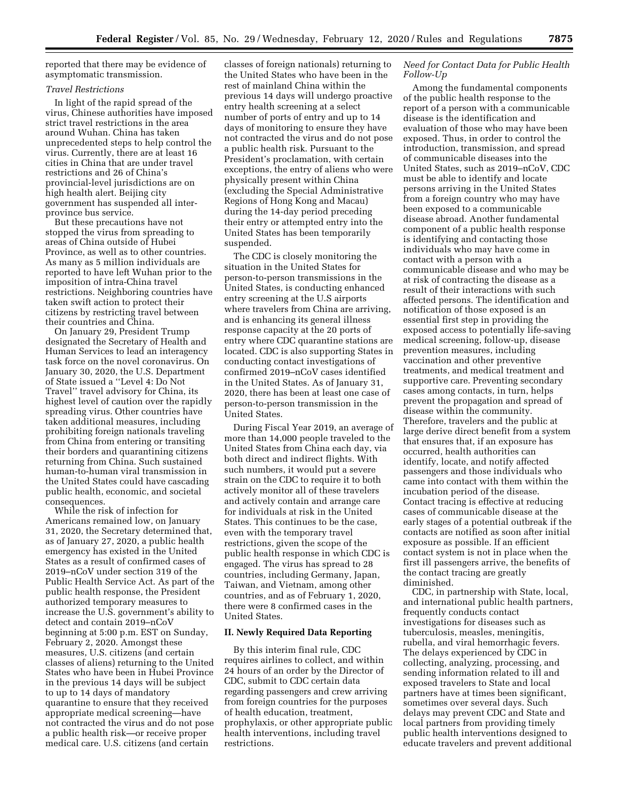reported that there may be evidence of asymptomatic transmission.

#### *Travel Restrictions*

In light of the rapid spread of the virus, Chinese authorities have imposed strict travel restrictions in the area around Wuhan. China has taken unprecedented steps to help control the virus. Currently, there are at least 16 cities in China that are under travel restrictions and 26 of China's provincial-level jurisdictions are on high health alert. Beijing city government has suspended all interprovince bus service.

But these precautions have not stopped the virus from spreading to areas of China outside of Hubei Province, as well as to other countries. As many as 5 million individuals are reported to have left Wuhan prior to the imposition of intra-China travel restrictions. Neighboring countries have taken swift action to protect their citizens by restricting travel between their countries and China.

On January 29, President Trump designated the Secretary of Health and Human Services to lead an interagency task force on the novel coronavirus. On January 30, 2020, the U.S. Department of State issued a ''Level 4: Do Not Travel'' travel advisory for China, its highest level of caution over the rapidly spreading virus. Other countries have taken additional measures, including prohibiting foreign nationals traveling from China from entering or transiting their borders and quarantining citizens returning from China. Such sustained human-to-human viral transmission in the United States could have cascading public health, economic, and societal consequences.

While the risk of infection for Americans remained low, on January 31, 2020, the Secretary determined that, as of January 27, 2020, a public health emergency has existed in the United States as a result of confirmed cases of 2019–nCoV under section 319 of the Public Health Service Act. As part of the public health response, the President authorized temporary measures to increase the U.S. government's ability to detect and contain 2019–nCoV beginning at 5:00 p.m. EST on Sunday, February 2, 2020. Amongst these measures, U.S. citizens (and certain classes of aliens) returning to the United States who have been in Hubei Province in the previous 14 days will be subject to up to 14 days of mandatory quarantine to ensure that they received appropriate medical screening—have not contracted the virus and do not pose a public health risk—or receive proper medical care. U.S. citizens (and certain

classes of foreign nationals) returning to the United States who have been in the rest of mainland China within the previous 14 days will undergo proactive entry health screening at a select number of ports of entry and up to 14 days of monitoring to ensure they have not contracted the virus and do not pose a public health risk. Pursuant to the President's proclamation, with certain exceptions, the entry of aliens who were physically present within China (excluding the Special Administrative Regions of Hong Kong and Macau) during the 14-day period preceding their entry or attempted entry into the United States has been temporarily suspended.

The CDC is closely monitoring the situation in the United States for person-to-person transmissions in the United States, is conducting enhanced entry screening at the U.S airports where travelers from China are arriving, and is enhancing its general illness response capacity at the 20 ports of entry where CDC quarantine stations are located. CDC is also supporting States in conducting contact investigations of confirmed 2019–nCoV cases identified in the United States. As of January 31, 2020, there has been at least one case of person-to-person transmission in the United States.

During Fiscal Year 2019, an average of more than 14,000 people traveled to the United States from China each day, via both direct and indirect flights. With such numbers, it would put a severe strain on the CDC to require it to both actively monitor all of these travelers and actively contain and arrange care for individuals at risk in the United States. This continues to be the case, even with the temporary travel restrictions, given the scope of the public health response in which CDC is engaged. The virus has spread to 28 countries, including Germany, Japan, Taiwan, and Vietnam, among other countries, and as of February 1, 2020, there were 8 confirmed cases in the United States.

#### **II. Newly Required Data Reporting**

By this interim final rule, CDC requires airlines to collect, and within 24 hours of an order by the Director of CDC, submit to CDC certain data regarding passengers and crew arriving from foreign countries for the purposes of health education, treatment, prophylaxis, or other appropriate public health interventions, including travel restrictions.

# *Need for Contact Data for Public Health Follow-Up*

Among the fundamental components of the public health response to the report of a person with a communicable disease is the identification and evaluation of those who may have been exposed. Thus, in order to control the introduction, transmission, and spread of communicable diseases into the United States, such as 2019–nCoV, CDC must be able to identify and locate persons arriving in the United States from a foreign country who may have been exposed to a communicable disease abroad. Another fundamental component of a public health response is identifying and contacting those individuals who may have come in contact with a person with a communicable disease and who may be at risk of contracting the disease as a result of their interactions with such affected persons. The identification and notification of those exposed is an essential first step in providing the exposed access to potentially life-saving medical screening, follow-up, disease prevention measures, including vaccination and other preventive treatments, and medical treatment and supportive care. Preventing secondary cases among contacts, in turn, helps prevent the propagation and spread of disease within the community. Therefore, travelers and the public at large derive direct benefit from a system that ensures that, if an exposure has occurred, health authorities can identify, locate, and notify affected passengers and those individuals who came into contact with them within the incubation period of the disease. Contact tracing is effective at reducing cases of communicable disease at the early stages of a potential outbreak if the contacts are notified as soon after initial exposure as possible. If an efficient contact system is not in place when the first ill passengers arrive, the benefits of the contact tracing are greatly diminished.

CDC, in partnership with State, local, and international public health partners, frequently conducts contact investigations for diseases such as tuberculosis, measles, meningitis, rubella, and viral hemorrhagic fevers. The delays experienced by CDC in collecting, analyzing, processing, and sending information related to ill and exposed travelers to State and local partners have at times been significant, sometimes over several days. Such delays may prevent CDC and State and local partners from providing timely public health interventions designed to educate travelers and prevent additional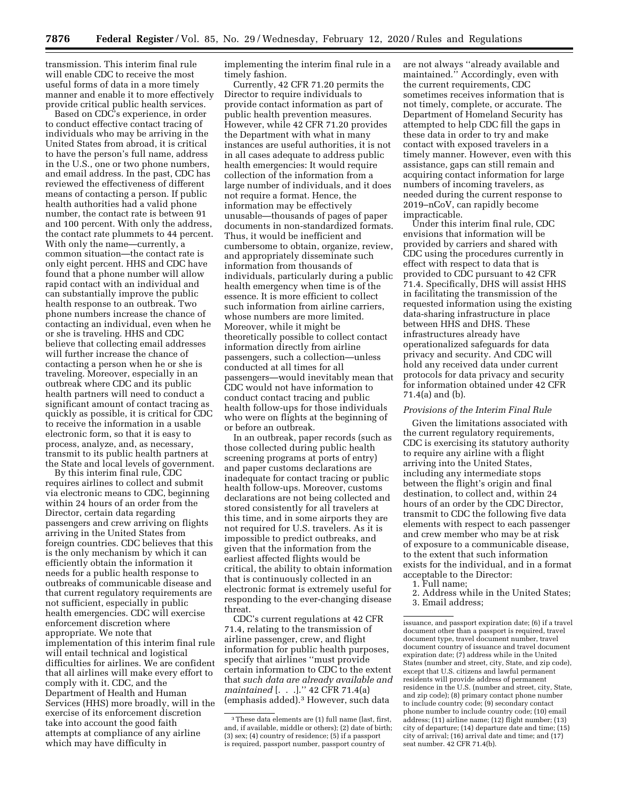transmission. This interim final rule will enable CDC to receive the most useful forms of data in a more timely manner and enable it to more effectively provide critical public health services.

Based on CDC's experience, in order to conduct effective contact tracing of individuals who may be arriving in the United States from abroad, it is critical to have the person's full name, address in the U.S., one or two phone numbers, and email address. In the past, CDC has reviewed the effectiveness of different means of contacting a person. If public health authorities had a valid phone number, the contact rate is between 91 and 100 percent. With only the address, the contact rate plummets to 44 percent. With only the name—currently, a common situation—the contact rate is only eight percent. HHS and CDC have found that a phone number will allow rapid contact with an individual and can substantially improve the public health response to an outbreak. Two phone numbers increase the chance of contacting an individual, even when he or she is traveling. HHS and CDC believe that collecting email addresses will further increase the chance of contacting a person when he or she is traveling. Moreover, especially in an outbreak where CDC and its public health partners will need to conduct a significant amount of contact tracing as quickly as possible, it is critical for CDC to receive the information in a usable electronic form, so that it is easy to process, analyze, and, as necessary, transmit to its public health partners at the State and local levels of government.

By this interim final rule, CDC requires airlines to collect and submit via electronic means to CDC, beginning within 24 hours of an order from the Director, certain data regarding passengers and crew arriving on flights arriving in the United States from foreign countries. CDC believes that this is the only mechanism by which it can efficiently obtain the information it needs for a public health response to outbreaks of communicable disease and that current regulatory requirements are not sufficient, especially in public health emergencies. CDC will exercise enforcement discretion where appropriate. We note that implementation of this interim final rule will entail technical and logistical difficulties for airlines. We are confident that all airlines will make every effort to comply with it. CDC, and the Department of Health and Human Services (HHS) more broadly, will in the exercise of its enforcement discretion take into account the good faith attempts at compliance of any airline which may have difficulty in

implementing the interim final rule in a timely fashion.

Currently, 42 CFR 71.20 permits the Director to require individuals to provide contact information as part of public health prevention measures. However, while 42 CFR 71.20 provides the Department with what in many instances are useful authorities, it is not in all cases adequate to address public health emergencies: It would require collection of the information from a large number of individuals, and it does not require a format. Hence, the information may be effectively unusable—thousands of pages of paper documents in non-standardized formats. Thus, it would be inefficient and cumbersome to obtain, organize, review, and appropriately disseminate such information from thousands of individuals, particularly during a public health emergency when time is of the essence. It is more efficient to collect such information from airline carriers, whose numbers are more limited. Moreover, while it might be theoretically possible to collect contact information directly from airline passengers, such a collection—unless conducted at all times for all passengers—would inevitably mean that CDC would not have information to conduct contact tracing and public health follow-ups for those individuals who were on flights at the beginning of or before an outbreak.

In an outbreak, paper records (such as those collected during public health screening programs at ports of entry) and paper customs declarations are inadequate for contact tracing or public health follow-ups. Moreover, customs declarations are not being collected and stored consistently for all travelers at this time, and in some airports they are not required for U.S. travelers. As it is impossible to predict outbreaks, and given that the information from the earliest affected flights would be critical, the ability to obtain information that is continuously collected in an electronic format is extremely useful for responding to the ever-changing disease threat.

CDC's current regulations at 42 CFR 71.4, relating to the transmission of airline passenger, crew, and flight information for public health purposes, specify that airlines ''must provide certain information to CDC to the extent that *such data are already available and maintained* [. . .].'' 42 CFR 71.4(a) (emphasis added).3 However, such data

are not always ''already available and maintained.'' Accordingly, even with the current requirements, CDC sometimes receives information that is not timely, complete, or accurate. The Department of Homeland Security has attempted to help CDC fill the gaps in these data in order to try and make contact with exposed travelers in a timely manner. However, even with this assistance, gaps can still remain and acquiring contact information for large numbers of incoming travelers, as needed during the current response to 2019–nCoV, can rapidly become impracticable.

Under this interim final rule, CDC envisions that information will be provided by carriers and shared with CDC using the procedures currently in effect with respect to data that is provided to CDC pursuant to 42 CFR 71.4. Specifically, DHS will assist HHS in facilitating the transmission of the requested information using the existing data-sharing infrastructure in place between HHS and DHS. These infrastructures already have operationalized safeguards for data privacy and security. And CDC will hold any received data under current protocols for data privacy and security for information obtained under 42 CFR 71.4(a) and (b).

#### *Provisions of the Interim Final Rule*

Given the limitations associated with the current regulatory requirements, CDC is exercising its statutory authority to require any airline with a flight arriving into the United States, including any intermediate stops between the flight's origin and final destination, to collect and, within 24 hours of an order by the CDC Director, transmit to CDC the following five data elements with respect to each passenger and crew member who may be at risk of exposure to a communicable disease, to the extent that such information exists for the individual, and in a format acceptable to the Director:

1. Full name;

2. Address while in the United States; 3. Email address;

issuance, and passport expiration date; (6) if a travel document other than a passport is required, travel document type, travel document number, travel document country of issuance and travel document expiration date; (7) address while in the United States (number and street, city, State, and zip code), except that U.S. citizens and lawful permanent residents will provide address of permanent residence in the U.S. (number and street, city, State, and zip code); (8) primary contact phone number to include country code; (9) secondary contact phone number to include country code; (10) email address; (11) airline name; (12) flight number; (13) city of departure; (14) departure date and time; (15) city of arrival; (16) arrival date and time; and (17) seat number. 42 CFR 71.4(b).

<sup>3</sup>These data elements are (1) full name (last, first, and, if available, middle or others); (2) date of birth; (3) sex; (4) country of residence; (5) if a passport is required, passport number, passport country of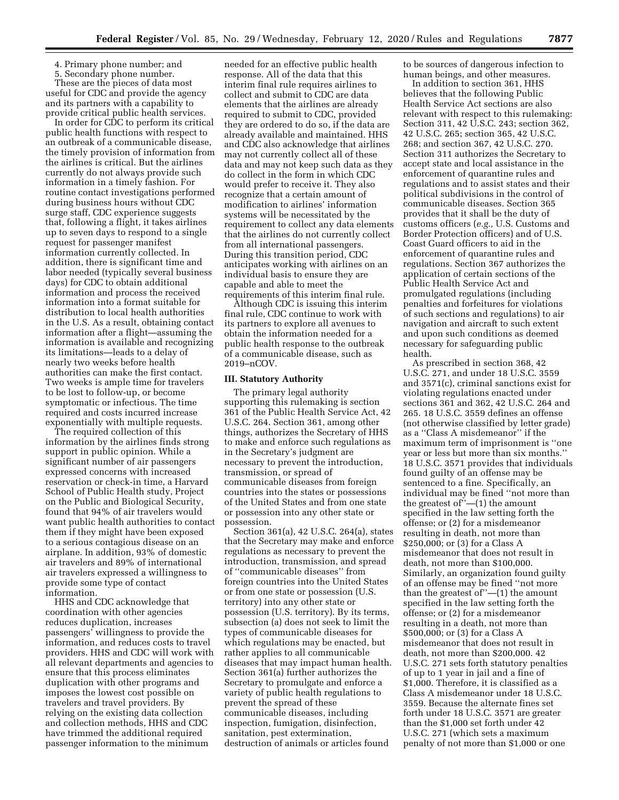4. Primary phone number; and

5. Secondary phone number. These are the pieces of data most useful for CDC and provide the agency and its partners with a capability to provide critical public health services.

In order for CDC to perform its critical public health functions with respect to an outbreak of a communicable disease, the timely provision of information from the airlines is critical. But the airlines currently do not always provide such information in a timely fashion. For routine contact investigations performed during business hours without CDC surge staff, CDC experience suggests that, following a flight, it takes airlines up to seven days to respond to a single request for passenger manifest information currently collected. In addition, there is significant time and labor needed (typically several business days) for CDC to obtain additional information and process the received information into a format suitable for distribution to local health authorities in the U.S. As a result, obtaining contact information after a flight—assuming the information is available and recognizing its limitations—leads to a delay of nearly two weeks before health authorities can make the first contact. Two weeks is ample time for travelers to be lost to follow-up, or become symptomatic or infectious. The time required and costs incurred increase exponentially with multiple requests.

The required collection of this information by the airlines finds strong support in public opinion. While a significant number of air passengers expressed concerns with increased reservation or check-in time, a Harvard School of Public Health study, Project on the Public and Biological Security, found that 94% of air travelers would want public health authorities to contact them if they might have been exposed to a serious contagious disease on an airplane. In addition, 93% of domestic air travelers and 89% of international air travelers expressed a willingness to provide some type of contact information.

HHS and CDC acknowledge that coordination with other agencies reduces duplication, increases passengers' willingness to provide the information, and reduces costs to travel providers. HHS and CDC will work with all relevant departments and agencies to ensure that this process eliminates duplication with other programs and imposes the lowest cost possible on travelers and travel providers. By relying on the existing data collection and collection methods, HHS and CDC have trimmed the additional required passenger information to the minimum

needed for an effective public health response. All of the data that this interim final rule requires airlines to collect and submit to CDC are data elements that the airlines are already required to submit to CDC, provided they are ordered to do so, if the data are already available and maintained. HHS and CDC also acknowledge that airlines may not currently collect all of these data and may not keep such data as they do collect in the form in which CDC would prefer to receive it. They also recognize that a certain amount of modification to airlines' information systems will be necessitated by the requirement to collect any data elements that the airlines do not currently collect from all international passengers. During this transition period, CDC anticipates working with airlines on an individual basis to ensure they are capable and able to meet the requirements of this interim final rule.

Although CDC is issuing this interim final rule, CDC continue to work with its partners to explore all avenues to obtain the information needed for a public health response to the outbreak of a communicable disease, such as 2019–nCOV.

#### **III. Statutory Authority**

The primary legal authority supporting this rulemaking is section 361 of the Public Health Service Act, 42 U.S.C. 264. Section 361, among other things, authorizes the Secretary of HHS to make and enforce such regulations as in the Secretary's judgment are necessary to prevent the introduction, transmission, or spread of communicable diseases from foreign countries into the states or possessions of the United States and from one state or possession into any other state or possession.

Section 361(a), 42 U.S.C. 264(a), states that the Secretary may make and enforce regulations as necessary to prevent the introduction, transmission, and spread of ''communicable diseases'' from foreign countries into the United States or from one state or possession (U.S. territory) into any other state or possession (U.S. territory). By its terms, subsection (a) does not seek to limit the types of communicable diseases for which regulations may be enacted, but rather applies to all communicable diseases that may impact human health. Section 361(a) further authorizes the Secretary to promulgate and enforce a variety of public health regulations to prevent the spread of these communicable diseases, including inspection, fumigation, disinfection, sanitation, pest extermination, destruction of animals or articles found

to be sources of dangerous infection to human beings, and other measures.

In addition to section 361, HHS believes that the following Public Health Service Act sections are also relevant with respect to this rulemaking: Section 311, 42 U.S.C. 243; section 362, 42 U.S.C. 265; section 365, 42 U.S.C. 268; and section 367, 42 U.S.C. 270. Section 311 authorizes the Secretary to accept state and local assistance in the enforcement of quarantine rules and regulations and to assist states and their political subdivisions in the control of communicable diseases. Section 365 provides that it shall be the duty of customs officers (*e.g.,* U.S. Customs and Border Protection officers) and of U.S. Coast Guard officers to aid in the enforcement of quarantine rules and regulations. Section 367 authorizes the application of certain sections of the Public Health Service Act and promulgated regulations (including penalties and forfeitures for violations of such sections and regulations) to air navigation and aircraft to such extent and upon such conditions as deemed necessary for safeguarding public health.

As prescribed in section 368, 42 U.S.C. 271, and under 18 U.S.C. 3559 and 3571(c), criminal sanctions exist for violating regulations enacted under sections 361 and 362, 42 U.S.C. 264 and 265. 18 U.S.C. 3559 defines an offense (not otherwise classified by letter grade) as a ''Class A misdemeanor'' if the maximum term of imprisonment is ''one year or less but more than six months.'' 18 U.S.C. 3571 provides that individuals found guilty of an offense may be sentenced to a fine. Specifically, an individual may be fined ''not more than the greatest of''—(1) the amount specified in the law setting forth the offense; or (2) for a misdemeanor resulting in death, not more than \$250,000; or (3) for a Class A misdemeanor that does not result in death, not more than \$100,000. Similarly, an organization found guilty of an offense may be fined ''not more than the greatest of''—(1) the amount specified in the law setting forth the offense; or (2) for a misdemeanor resulting in a death, not more than \$500,000; or (3) for a Class A misdemeanor that does not result in death, not more than \$200,000. 42 U.S.C. 271 sets forth statutory penalties of up to 1 year in jail and a fine of \$1,000. Therefore, it is classified as a Class A misdemeanor under 18 U.S.C. 3559. Because the alternate fines set forth under 18 U.S.C. 3571 are greater than the \$1,000 set forth under 42 U.S.C. 271 (which sets a maximum penalty of not more than \$1,000 or one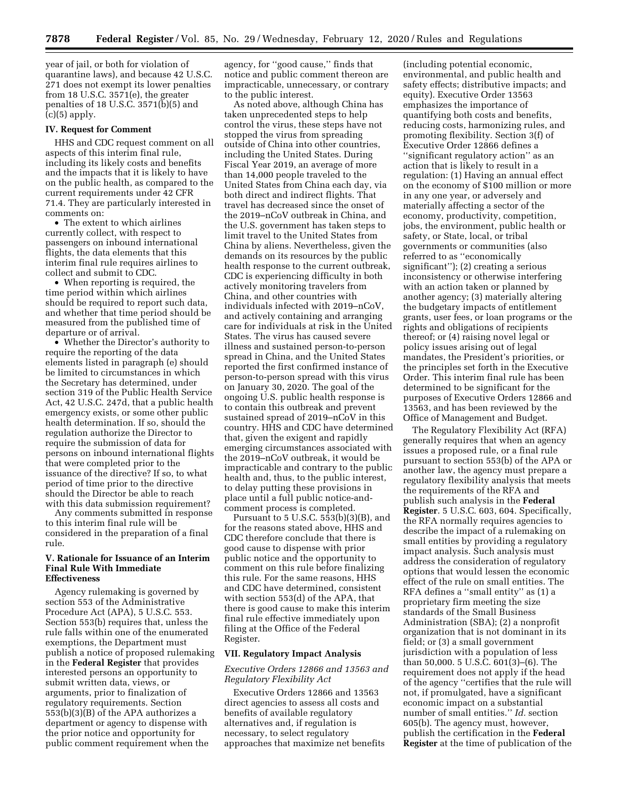year of jail, or both for violation of quarantine laws), and because 42 U.S.C. 271 does not exempt its lower penalties from 18 U.S.C. 3571(e), the greater penalties of 18 U.S.C.  $3571(b)(5)$  and  $(c)(5)$  apply.

#### **IV. Request for Comment**

HHS and CDC request comment on all aspects of this interim final rule, including its likely costs and benefits and the impacts that it is likely to have on the public health, as compared to the current requirements under 42 CFR 71.4. They are particularly interested in comments on:

• The extent to which airlines currently collect, with respect to passengers on inbound international flights, the data elements that this interim final rule requires airlines to collect and submit to CDC.

• When reporting is required, the time period within which airlines should be required to report such data, and whether that time period should be measured from the published time of departure or of arrival.

• Whether the Director's authority to require the reporting of the data elements listed in paragraph (e) should be limited to circumstances in which the Secretary has determined, under section 319 of the Public Health Service Act, 42 U.S.C. 247d, that a public health emergency exists, or some other public health determination. If so, should the regulation authorize the Director to require the submission of data for persons on inbound international flights that were completed prior to the issuance of the directive? If so, to what period of time prior to the directive should the Director be able to reach with this data submission requirement?

Any comments submitted in response to this interim final rule will be considered in the preparation of a final rule.

# **V. Rationale for Issuance of an Interim Final Rule With Immediate Effectiveness**

Agency rulemaking is governed by section 553 of the Administrative Procedure Act (APA), 5 U.S.C. 553. Section 553(b) requires that, unless the rule falls within one of the enumerated exemptions, the Department must publish a notice of proposed rulemaking in the **Federal Register** that provides interested persons an opportunity to submit written data, views, or arguments, prior to finalization of regulatory requirements. Section 553(b)(3)(B) of the APA authorizes a department or agency to dispense with the prior notice and opportunity for public comment requirement when the

agency, for ''good cause,'' finds that notice and public comment thereon are impracticable, unnecessary, or contrary to the public interest.

As noted above, although China has taken unprecedented steps to help control the virus, these steps have not stopped the virus from spreading outside of China into other countries, including the United States. During Fiscal Year 2019, an average of more than 14,000 people traveled to the United States from China each day, via both direct and indirect flights. That travel has decreased since the onset of the 2019–nCoV outbreak in China, and the U.S. government has taken steps to limit travel to the United States from China by aliens. Nevertheless, given the demands on its resources by the public health response to the current outbreak, CDC is experiencing difficulty in both actively monitoring travelers from China, and other countries with individuals infected with 2019–nCoV, and actively containing and arranging care for individuals at risk in the United States. The virus has caused severe illness and sustained person-to-person spread in China, and the United States reported the first confirmed instance of person-to-person spread with this virus on January 30, 2020. The goal of the ongoing U.S. public health response is to contain this outbreak and prevent sustained spread of 2019–nCoV in this country. HHS and CDC have determined that, given the exigent and rapidly emerging circumstances associated with the 2019–nCoV outbreak, it would be impracticable and contrary to the public health and, thus, to the public interest, to delay putting these provisions in place until a full public notice-andcomment process is completed.

Pursuant to 5 U.S.C.  $5\overline{5}3(b)(3)(B)$ , and for the reasons stated above, HHS and CDC therefore conclude that there is good cause to dispense with prior public notice and the opportunity to comment on this rule before finalizing this rule. For the same reasons, HHS and CDC have determined, consistent with section 553(d) of the APA, that there is good cause to make this interim final rule effective immediately upon filing at the Office of the Federal Register.

#### **VII. Regulatory Impact Analysis**

## *Executive Orders 12866 and 13563 and Regulatory Flexibility Act*

Executive Orders 12866 and 13563 direct agencies to assess all costs and benefits of available regulatory alternatives and, if regulation is necessary, to select regulatory approaches that maximize net benefits

(including potential economic, environmental, and public health and safety effects; distributive impacts; and equity). Executive Order 13563 emphasizes the importance of quantifying both costs and benefits, reducing costs, harmonizing rules, and promoting flexibility. Section 3(f) of Executive Order 12866 defines a ''significant regulatory action'' as an action that is likely to result in a regulation: (1) Having an annual effect on the economy of \$100 million or more in any one year, or adversely and materially affecting a sector of the economy, productivity, competition, jobs, the environment, public health or safety, or State, local, or tribal governments or communities (also referred to as ''economically significant''); (2) creating a serious inconsistency or otherwise interfering with an action taken or planned by another agency; (3) materially altering the budgetary impacts of entitlement grants, user fees, or loan programs or the rights and obligations of recipients thereof; or (4) raising novel legal or policy issues arising out of legal mandates, the President's priorities, or the principles set forth in the Executive Order. This interim final rule has been determined to be significant for the purposes of Executive Orders 12866 and 13563, and has been reviewed by the Office of Management and Budget.

The Regulatory Flexibility Act (RFA) generally requires that when an agency issues a proposed rule, or a final rule pursuant to section 553(b) of the APA or another law, the agency must prepare a regulatory flexibility analysis that meets the requirements of the RFA and publish such analysis in the **Federal Register**. 5 U.S.C. 603, 604. Specifically, the RFA normally requires agencies to describe the impact of a rulemaking on small entities by providing a regulatory impact analysis. Such analysis must address the consideration of regulatory options that would lessen the economic effect of the rule on small entities. The RFA defines a ''small entity'' as (1) a proprietary firm meeting the size standards of the Small Business Administration (SBA); (2) a nonprofit organization that is not dominant in its field; or (3) a small government jurisdiction with a population of less than 50,000. 5 U.S.C. 601(3)–(6). The requirement does not apply if the head of the agency ''certifies that the rule will not, if promulgated, have a significant economic impact on a substantial number of small entities.'' *Id.* section 605(b). The agency must, however, publish the certification in the **Federal Register** at the time of publication of the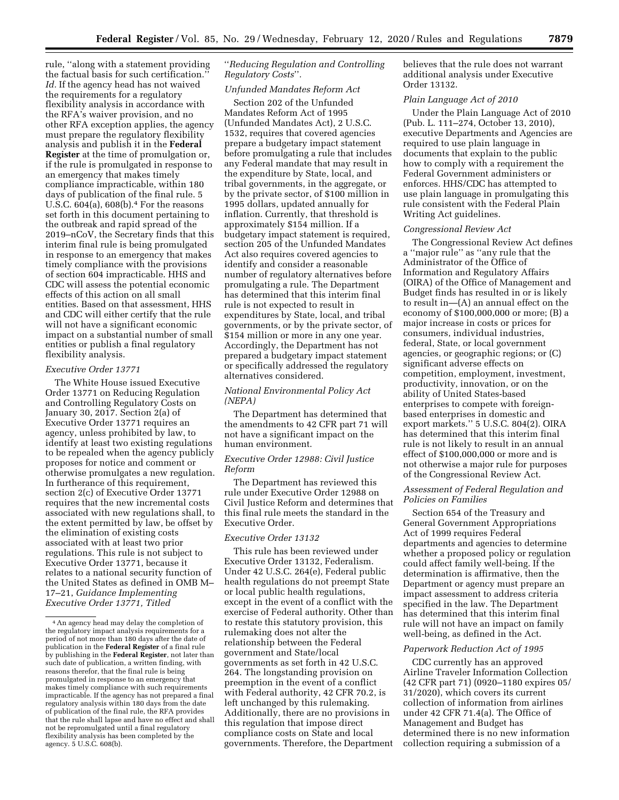rule, ''along with a statement providing the factual basis for such certification.'' *Id.* If the agency head has not waived the requirements for a regulatory flexibility analysis in accordance with the RFA's waiver provision, and no other RFA exception applies, the agency must prepare the regulatory flexibility analysis and publish it in the **Federal Register** at the time of promulgation or, if the rule is promulgated in response to an emergency that makes timely compliance impracticable, within 180 days of publication of the final rule. 5 U.S.C.  $604(a)$ ,  $608(b)$ .<sup>4</sup> For the reasons set forth in this document pertaining to the outbreak and rapid spread of the 2019–nCoV, the Secretary finds that this interim final rule is being promulgated in response to an emergency that makes timely compliance with the provisions of section 604 impracticable. HHS and CDC will assess the potential economic effects of this action on all small entities. Based on that assessment, HHS and CDC will either certify that the rule will not have a significant economic impact on a substantial number of small entities or publish a final regulatory flexibility analysis.

# *Executive Order 13771*

The White House issued Executive Order 13771 on Reducing Regulation and Controlling Regulatory Costs on January 30, 2017. Section 2(a) of Executive Order 13771 requires an agency, unless prohibited by law, to identify at least two existing regulations to be repealed when the agency publicly proposes for notice and comment or otherwise promulgates a new regulation. In furtherance of this requirement, section 2(c) of Executive Order 13771 requires that the new incremental costs associated with new regulations shall, to the extent permitted by law, be offset by the elimination of existing costs associated with at least two prior regulations. This rule is not subject to Executive Order 13771, because it relates to a national security function of the United States as defined in OMB M– 17–21, *Guidance Implementing Executive Order 13771, Titled* 

# ''*Reducing Regulation and Controlling Regulatory Costs*''*.*

# *Unfunded Mandates Reform Act*

Section 202 of the Unfunded Mandates Reform Act of 1995 (Unfunded Mandates Act), 2 U.S.C. 1532, requires that covered agencies prepare a budgetary impact statement before promulgating a rule that includes any Federal mandate that may result in the expenditure by State, local, and tribal governments, in the aggregate, or by the private sector, of \$100 million in 1995 dollars, updated annually for inflation. Currently, that threshold is approximately \$154 million. If a budgetary impact statement is required, section 205 of the Unfunded Mandates Act also requires covered agencies to identify and consider a reasonable number of regulatory alternatives before promulgating a rule. The Department has determined that this interim final rule is not expected to result in expenditures by State, local, and tribal governments, or by the private sector, of \$154 million or more in any one year. Accordingly, the Department has not prepared a budgetary impact statement or specifically addressed the regulatory alternatives considered.

#### *National Environmental Policy Act (NEPA)*

The Department has determined that the amendments to 42 CFR part 71 will not have a significant impact on the human environment.

#### *Executive Order 12988: Civil Justice Reform*

The Department has reviewed this rule under Executive Order 12988 on Civil Justice Reform and determines that this final rule meets the standard in the Executive Order.

#### *Executive Order 13132*

This rule has been reviewed under Executive Order 13132, Federalism. Under 42 U.S.C. 264(e), Federal public health regulations do not preempt State or local public health regulations, except in the event of a conflict with the exercise of Federal authority. Other than to restate this statutory provision, this rulemaking does not alter the relationship between the Federal government and State/local governments as set forth in 42 U.S.C. 264. The longstanding provision on preemption in the event of a conflict with Federal authority, 42 CFR 70.2, is left unchanged by this rulemaking. Additionally, there are no provisions in this regulation that impose direct compliance costs on State and local governments. Therefore, the Department believes that the rule does not warrant additional analysis under Executive Order 13132.

#### *Plain Language Act of 2010*

Under the Plain Language Act of 2010 (Pub. L. 111–274, October 13, 2010), executive Departments and Agencies are required to use plain language in documents that explain to the public how to comply with a requirement the Federal Government administers or enforces. HHS/CDC has attempted to use plain language in promulgating this rule consistent with the Federal Plain Writing Act guidelines.

#### *Congressional Review Act*

The Congressional Review Act defines a ''major rule'' as ''any rule that the Administrator of the Office of Information and Regulatory Affairs (OIRA) of the Office of Management and Budget finds has resulted in or is likely to result in—(A) an annual effect on the economy of \$100,000,000 or more; (B) a major increase in costs or prices for consumers, individual industries, federal, State, or local government agencies, or geographic regions; or (C) significant adverse effects on competition, employment, investment, productivity, innovation, or on the ability of United States-based enterprises to compete with foreignbased enterprises in domestic and export markets.'' 5 U.S.C. 804(2). OIRA has determined that this interim final rule is not likely to result in an annual effect of \$100,000,000 or more and is not otherwise a major rule for purposes of the Congressional Review Act.

# *Assessment of Federal Regulation and Policies on Families*

Section 654 of the Treasury and General Government Appropriations Act of 1999 requires Federal departments and agencies to determine whether a proposed policy or regulation could affect family well-being. If the determination is affirmative, then the Department or agency must prepare an impact assessment to address criteria specified in the law. The Department has determined that this interim final rule will not have an impact on family well-being, as defined in the Act.

#### *Paperwork Reduction Act of 1995*

CDC currently has an approved Airline Traveler Information Collection (42 CFR part 71) (0920–1180 expires 05/ 31/2020), which covers its current collection of information from airlines under 42 CFR 71.4(a). The Office of Management and Budget has determined there is no new information collection requiring a submission of a

<sup>4</sup>An agency head may delay the completion of the regulatory impact analysis requirements for a period of not more than 180 days after the date of publication in the **Federal Register** of a final rule by publishing in the **Federal Register**, not later than such date of publication, a written finding, with reasons therefor, that the final rule is being promulgated in response to an emergency that makes timely compliance with such requirements impracticable. If the agency has not prepared a final regulatory analysis within 180 days from the date of publication of the final rule, the RFA provides that the rule shall lapse and have no effect and shall not be repromulgated until a final regulatory flexibility analysis has been completed by the agency. 5 U.S.C. 608(b).